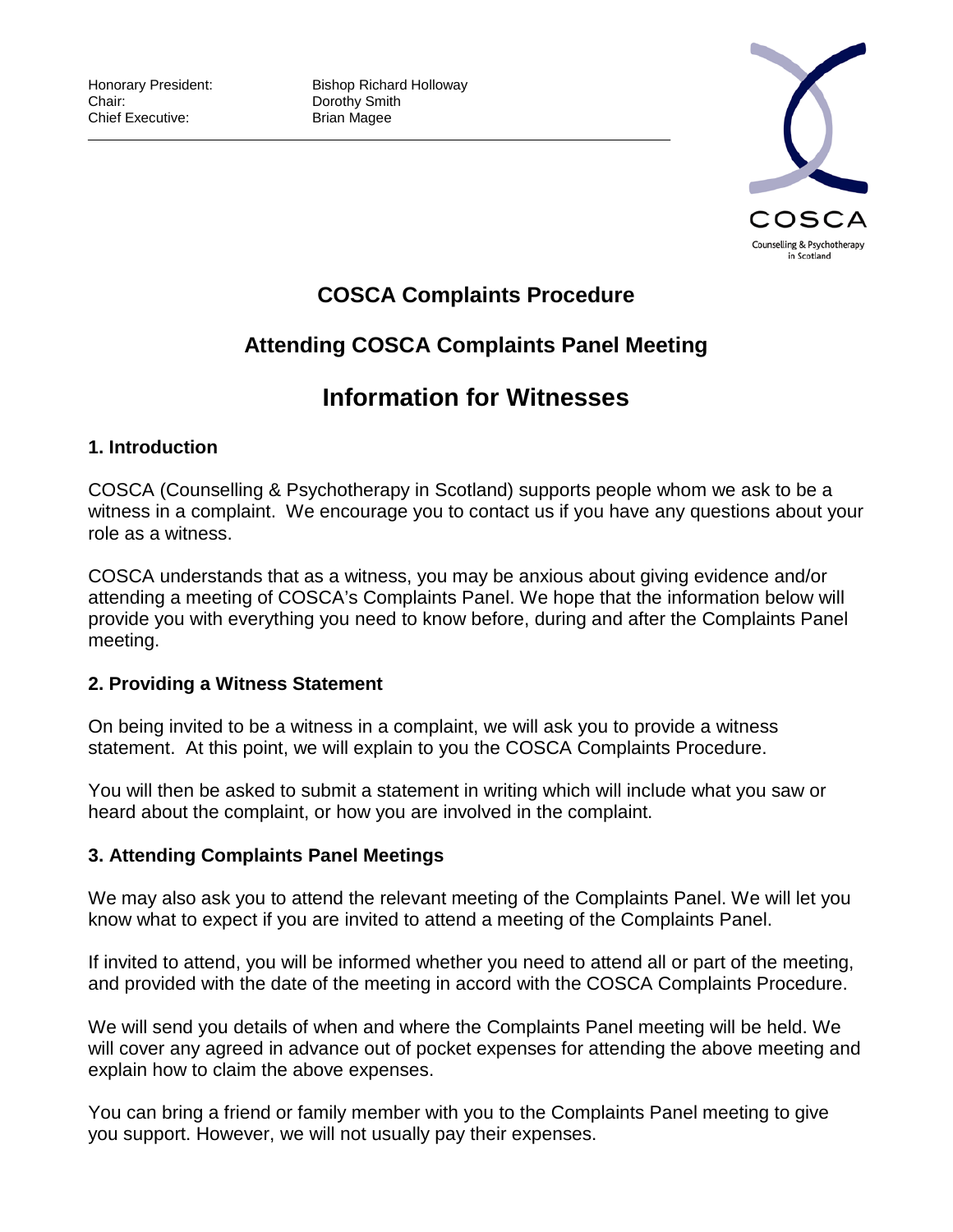

## **COSCA Complaints Procedure**

# **Attending COSCA Complaints Panel Meeting**

# **Information for Witnesses**

## **1. Introduction**

COSCA (Counselling & Psychotherapy in Scotland) supports people whom we ask to be a witness in a complaint. We encourage you to contact us if you have any questions about your role as a witness.

COSCA understands that as a witness, you may be anxious about giving evidence and/or attending a meeting of COSCA's Complaints Panel. We hope that the information below will provide you with everything you need to know before, during and after the Complaints Panel meeting.

## **2. Providing a Witness Statement**

On being invited to be a witness in a complaint, we will ask you to provide a witness statement. At this point, we will explain to you the COSCA Complaints Procedure.

You will then be asked to submit a statement in writing which will include what you saw or heard about the complaint, or how you are involved in the complaint.

## **3. Attending Complaints Panel Meetings**

We may also ask you to attend the relevant meeting of the Complaints Panel. We will let you know what to expect if you are invited to attend a meeting of the Complaints Panel.

If invited to attend, you will be informed whether you need to attend all or part of the meeting, and provided with the date of the meeting in accord with the COSCA Complaints Procedure.

We will send you details of when and where the Complaints Panel meeting will be held. We will cover any agreed in advance out of pocket expenses for attending the above meeting and explain how to claim the above expenses.

You can bring a friend or family member with you to the Complaints Panel meeting to give you support. However, we will not usually pay their expenses.